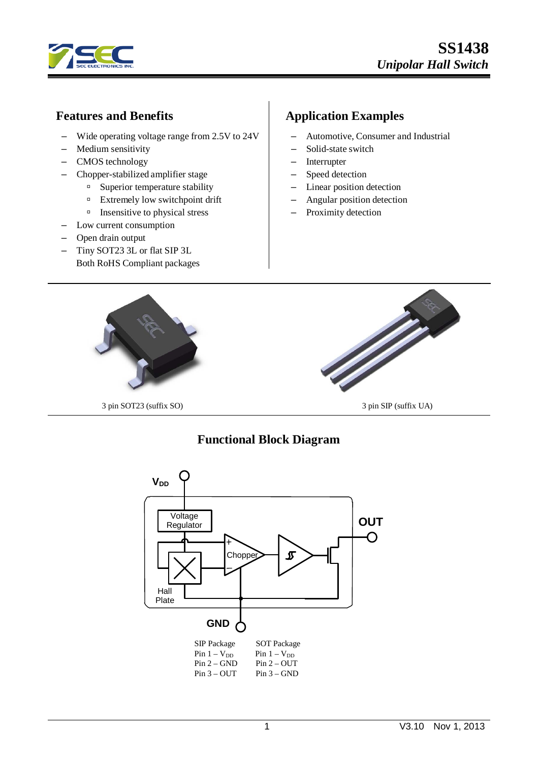

## **Features and Benefits**

- Wide operating voltage range from 2.5V to 24V
- Medium sensitivity
- CMOS technology
- Chopper-stabilized amplifier stage
	- $\Box$  Superior temperature stability
	- $\Box$  Extremely low switchpoint drift
	- $\Box$  Insensitive to physical stress
- Low current consumption
- Open drain output
- Tiny SOT23 3L or flat SIP 3L Both RoHS Compliant packages

## **Application Examples**

- Automotive, Consumer and Industrial
- Solid-state switch
- Interrupter
- Speed detection
- Linear position detection
- Angular position detection
- Proximity detection



# **Functional Block Diagram**

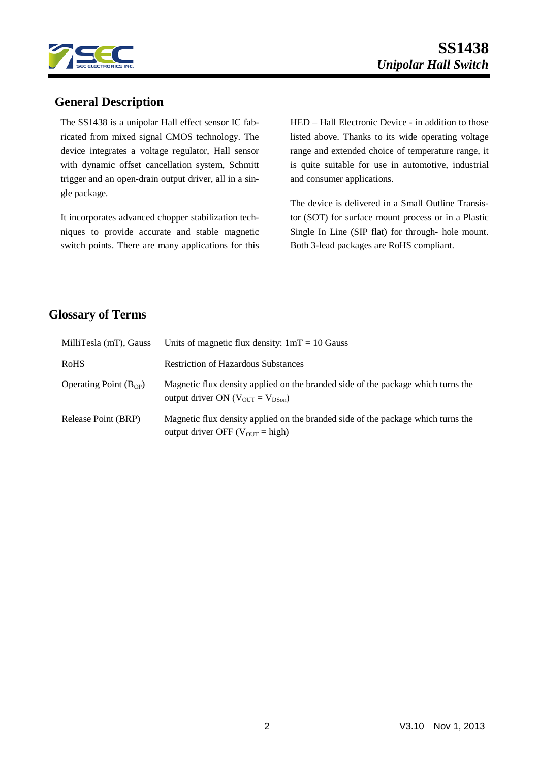

## **General Description**

The SS1438 is a unipolar Hall effect sensor IC fabricated from mixed signal CMOS technology. The device integrates a voltage regulator, Hall sensor with dynamic offset cancellation system, Schmitt trigger and an open-drain output driver, all in a single package.

It incorporates advanced chopper stabilization techniques to provide accurate and stable magnetic switch points. There are many applications for this HED – Hall Electronic Device - in addition to those listed above. Thanks to its wide operating voltage range and extended choice of temperature range, it is quite suitable for use in automotive, industrial and consumer applications.

The device is delivered in a Small Outline Transistor (SOT) for surface mount process or in a Plastic Single In Line (SIP flat) for through- hole mount. Both 3-lead packages are RoHS compliant.

## **Glossary of Terms**

| MilliTesla (mT), Gauss     | Units of magnetic flux density: $1mT = 10$ Gauss                                                                                            |
|----------------------------|---------------------------------------------------------------------------------------------------------------------------------------------|
| <b>RoHS</b>                | <b>Restriction of Hazardous Substances</b>                                                                                                  |
| Operating Point $(B_{OP})$ | Magnetic flux density applied on the branded side of the package which turns the<br>output driver ON ( $V_{\text{OUT}} = V_{\text{DSon}}$ ) |
| Release Point (BRP)        | Magnetic flux density applied on the branded side of the package which turns the<br>output driver OFF ( $V_{\text{OUT}} = \text{high}$ )    |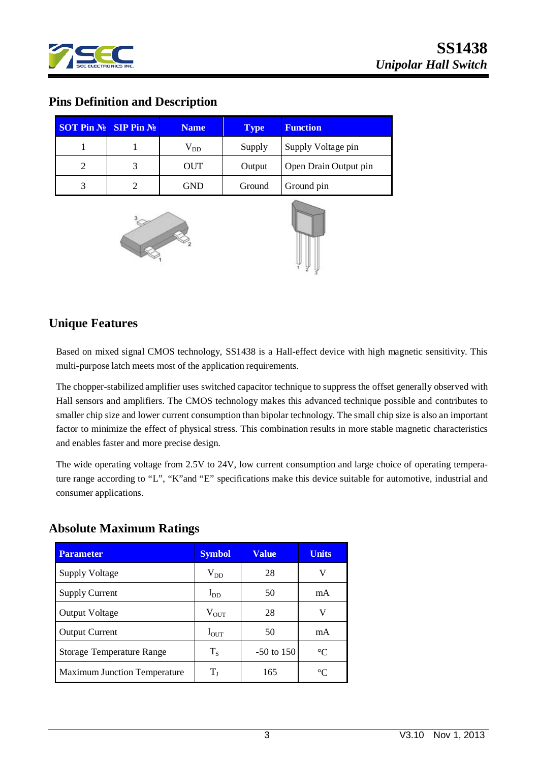

## **Pins Definition and Description**

| <b>SOT Pin No SIP Pin No</b> | <b>Name</b>  | <b>Type</b> | <b>Function</b>       |
|------------------------------|--------------|-------------|-----------------------|
|                              | $\rm V_{DD}$ | Supply      | Supply Voltage pin    |
|                              | <b>OUT</b>   | Output      | Open Drain Output pin |
| 3                            | GND          | Ground      | Ground pin            |





## **Unique Features**

Based on mixed signal CMOS technology, SS1438 is a Hall-effect device with high magnetic sensitivity. This multi-purpose latch meets most of the application requirements.

The chopper-stabilized amplifier uses switched capacitor technique to suppress the offset generally observed with Hall sensors and amplifiers. The CMOS technology makes this advanced technique possible and contributes to smaller chip size and lower current consumption than bipolar technology. The small chip size is also an important factor to minimize the effect of physical stress. This combination results in more stable magnetic characteristics and enables faster and more precise design.

The wide operating voltage from 2.5V to 24V, low current consumption and large choice of operating temperature range according to "L", "K"and "E" specifications make this device suitable for automotive, industrial and consumer applications.

### **Absolute Maximum Ratings**

| <b>Parameter</b>                    | <b>Symbol</b> | <b>Value</b> | <b>Units</b>    |
|-------------------------------------|---------------|--------------|-----------------|
| <b>Supply Voltage</b>               | $\rm V_{DD}$  | 28           | V               |
| <b>Supply Current</b>               | $I_{DD}$      | 50           | mA              |
| <b>Output Voltage</b>               | $V_{OUT}$     | 28           | V               |
| <b>Output Current</b>               | $I_{OUT}$     | 50           | mA              |
| Storage Temperature Range           | $T_S$         | $-50$ to 150 | $\rm ^{\circ}C$ |
| <b>Maximum Junction Temperature</b> | T1            | 165          | $^{\circ}C$     |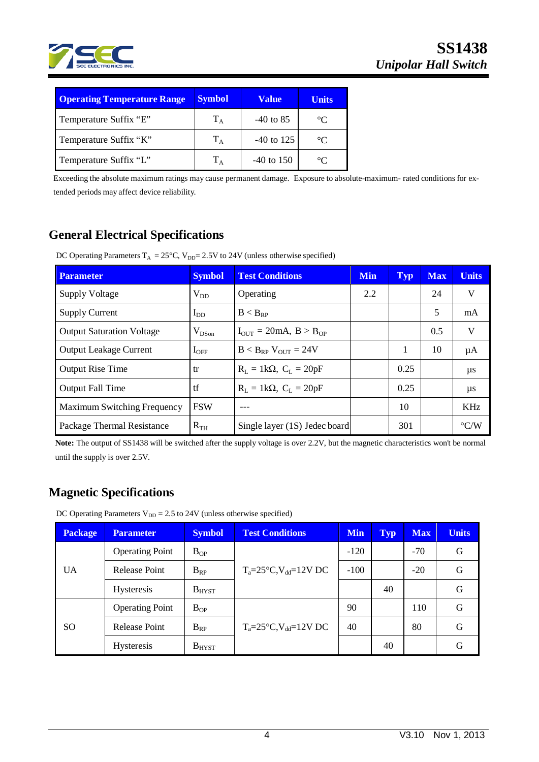

| <b>Operating Temperature Range</b> | <b>Symbol</b> | <b>Value</b> | <b>Units</b> |
|------------------------------------|---------------|--------------|--------------|
| Temperature Suffix "E"             | $T_A$         | $-40$ to 85  | $^{\circ}C$  |
| Temperature Suffix "K"             | $T_A$         | $-40$ to 125 | $^{\circ}C$  |
| Temperature Suffix "L"             | $T_A$         | $-40$ to 150 | $\circ$ C    |

Exceeding the absolute maximum ratings may cause permanent damage. Exposure to absolute-maximum- rated conditions for extended periods may affect device reliability.

# **General Electrical Specifications**

DC Operating Parameters  $T_A = 25^{\circ}C$ ,  $V_{DD} = 2.5V$  to 24V (unless otherwise specified)

| <b>Parameter</b>                 | <b>Symbol</b> | <b>Test Conditions</b>                             | <b>Min</b> | <b>Typ</b> | <b>Max</b> | <b>Units</b>       |
|----------------------------------|---------------|----------------------------------------------------|------------|------------|------------|--------------------|
| <b>Supply Voltage</b>            | $V_{DD}$      | Operating                                          | 2.2        |            | 24         | V                  |
| <b>Supply Current</b>            | $I_{DD}$      | $B < B_{RP}$                                       |            |            | 5          | mA                 |
| <b>Output Saturation Voltage</b> | $V_{DSon}$    | $I_{\text{OUT}} = 20 \text{mA}, B > B_{\text{OP}}$ |            |            | 0.5        | V                  |
| <b>Output Leakage Current</b>    | $I_{\rm OFF}$ | $B < B_{RP}$ V <sub>OUT</sub> = 24V                |            | 1          | 10         | μA                 |
| <b>Output Rise Time</b>          | tr            | $R_L = 1k\Omega$ , $C_L = 20pF$                    |            | 0.25       |            | $\mu s$            |
| <b>Output Fall Time</b>          | tf            | $R_L = 1k\Omega$ , $C_L = 20pF$                    |            | 0.25       |            | $\mu s$            |
| Maximum Switching Frequency      | <b>FSW</b>    |                                                    |            | 10         |            | <b>KHz</b>         |
| Package Thermal Resistance       | $R_{TH}$      | Single layer (1S) Jedec board                      |            | 301        |            | $\rm ^{\circ}$ C/W |

**Note:** The output of SS1438 will be switched after the supply voltage is over 2.2V, but the magnetic characteristics won't be normal until the supply is over 2.5V.

# **Magnetic Specifications**

DC Operating Parameters  $V_{DD} = 2.5$  to 24V (unless otherwise specified)

| <b>Package</b> | <b>Parameter</b>       | <b>Symbol</b> | <b>Test Conditions</b>                  | <b>Min</b> | <b>Typ</b> | <b>Max</b> | <b>Units</b> |
|----------------|------------------------|---------------|-----------------------------------------|------------|------------|------------|--------------|
| UA             | <b>Operating Point</b> | $B_{OP}$      |                                         | $-120$     |            | $-70$      | G            |
|                | Release Point          | $B_{RP}$      | $T_a = 25^{\circ}C$ , $V_{dd} = 12V$ DC | $-100$     |            | $-20$      | G            |
|                | <b>Hysteresis</b>      | $B_{H YST}$   |                                         |            | 40         |            | G            |
| SO.            | <b>Operating Point</b> | $B_{OP}$      |                                         | 90         |            | 110        | G            |
|                | Release Point          | $B_{RP}$      | $T_a = 25^{\circ}C$ , $V_{dd} = 12V$ DC | 40         |            | 80         | G            |
|                | <b>Hysteresis</b>      | $B_{H YST}$   |                                         |            | 40         |            | G            |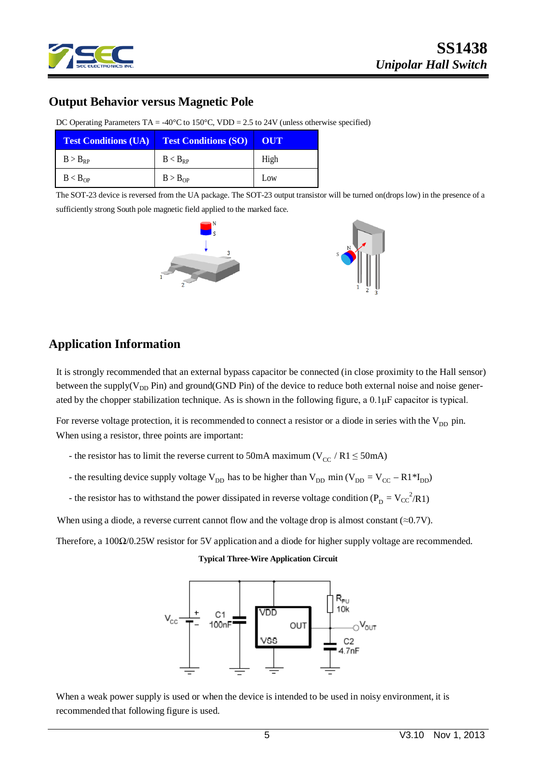

# **SS1438** *Unipolar Hall Switch*

## **Output Behavior versus Magnetic Pole**

| <b>Test Conditions (UA) Test Conditions (SO)</b> |                     | OUT  |
|--------------------------------------------------|---------------------|------|
| $B > B_{RP}$                                     | $B < B_{RP}$        | High |
| B < B <sub>OP</sub>                              | B > B <sub>OP</sub> | Low  |

DC Operating Parameters TA = -40°C to  $150$ °C, VDD = 2.5 to 24V (unless otherwise specified)

The SOT-23 device is reversed from the UA package. The SOT-23 output transistor will be turned on(drops low) in the presence of a sufficiently strong South pole magnetic field applied to the marked face.



## **Application Information**

It is strongly recommended that an external bypass capacitor be connected (in close proximity to the Hall sensor) between the supply( $V_{DD}$  Pin) and ground(GND Pin) of the device to reduce both external noise and noise generated by the chopper stabilization technique. As is shown in the following figure, a 0.1μF capacitor is typical.

For reverse voltage protection, it is recommended to connect a resistor or a diode in series with the  $V_{DD}$  pin. When using a resistor, three points are important:

- the resistor has to limit the reverse current to 50mA maximum ( $V_{CC}$  / R1  $\leq$  50mA)
- the resulting device supply voltage  $V_{DD}$  has to be higher than  $V_{DD}$  min ( $V_{DD} = V_{CC} R1*I_{DD}$ )
- the resistor has to withstand the power dissipated in reverse voltage condition ( $P_D = V_{CC}^2 / R1$ )

When using a diode, a reverse current cannot flow and the voltage drop is almost constant ( $\approx 0.7V$ ).

Therefore, a 100Ω/0.25W resistor for 5V application and a diode for higher supply voltage are recommended.

**Typical Three-Wire Application Circuit**



When a weak power supply is used or when the device is intended to be used in noisy environment, it is recommended that following figure is used.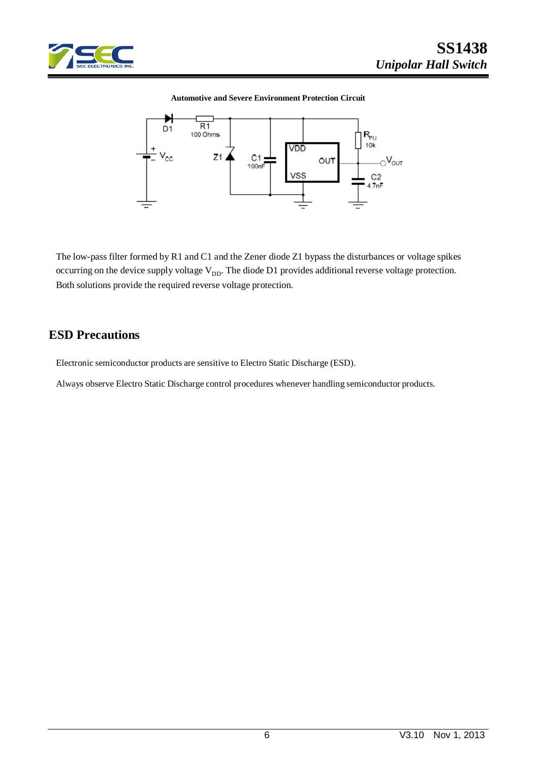

#### **Automotive and Severe Environment Protection Circuit**



The low-pass filter formed by R1 and C1 and the Zener diode Z1 bypass the disturbances or voltage spikes occurring on the device supply voltage  $V_{DD}$ . The diode D1 provides additional reverse voltage protection. Both solutions provide the required reverse voltage protection.

### **ESD Precautions**

Electronic semiconductor products are sensitive to Electro Static Discharge (ESD).

Always observe Electro Static Discharge control procedures whenever handling semiconductor products.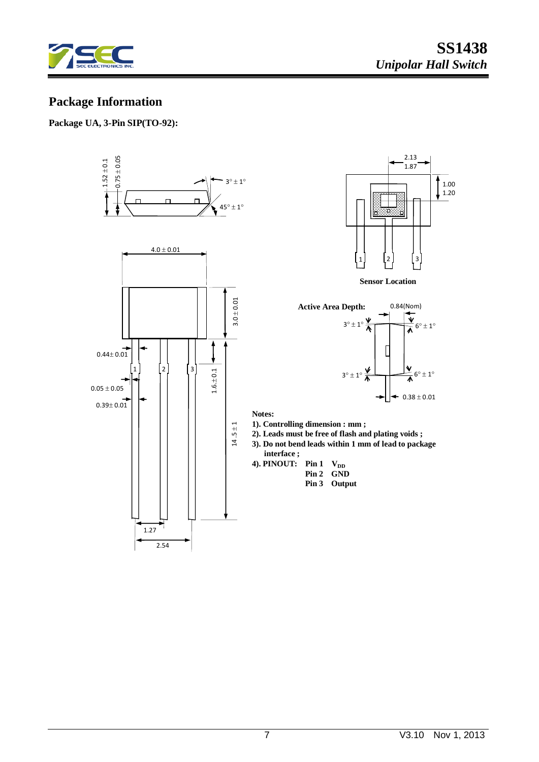

# **Package Information**

### **Package UA, 3-Pin SIP(TO-92):**





**Sensor Location**



**Notes:**

- **1). Controlling dimension : mm ;**
- **2). Leads must be free of flash and plating voids ;**
- **3). Do not bend leads within 1 mm of lead to package interface ;**
- **4). PINOUT:** Pin 1  $V_{DD}$  **Pin 2 GND Pin 3 Output**